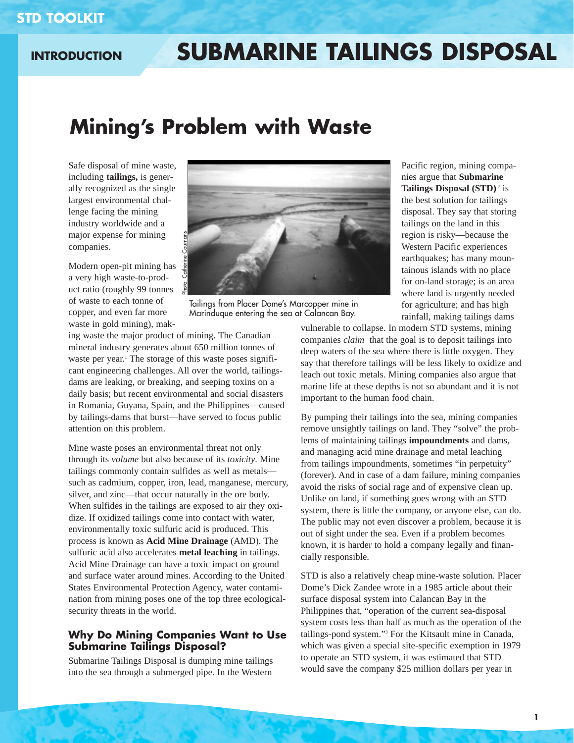# **INTRODUCTION**

# **SUBMARINE TAILINGS DISPOSAL**

# **Mining's Problem with Waste**

Safe disposal of mine waste, including **tailings,** is generally recognized as the single largest environmental challenge facing the mining industry worldwide and a major expense for mining companies.

Modern open-pit mining has a very high waste-to-product ratio (roughly 99 tonnes of waste to each tonne of copper, and even far more waste in gold mining), mak-



Tailings from Placer Dome's Marcopper mine in Marinduque entering the sea at Calancan Bay.

ing waste the major product of mining. The Canadian mineral industry generates about 650 million tonnes of waste per year.<sup>1</sup> The storage of this waste poses significant engineering challenges. All over the world, tailingsdams are leaking, or breaking, and seeping toxins on a daily basis; but recent environmental and social disasters in Romania, Guyana, Spain, and the Philippines—caused by tailings-dams that burst—have served to focus public attention on this problem.

Mine waste poses an environmental threat not only through its *volume* but also because of its *toxicity*. Mine tailings commonly contain sulfides as well as metals such as cadmium, copper, iron, lead, manganese, mercury, silver, and zinc—that occur naturally in the ore body. When sulfides in the tailings are exposed to air they oxidize. If oxidized tailings come into contact with water, environmentally toxic sulfuric acid is produced. This process is known as **Acid Mine Drainage** (AMD). The sulfuric acid also accelerates **metal leaching** in tailings. Acid Mine Drainage can have a toxic impact on ground and surface water around mines. According to the United States Environmental Protection Agency, water contamination from mining poses one of the top three ecologicalsecurity threats in the world.

## **Why Do Mining Companies Want to Use Submarine Tailings Disposal?**

Submarine Tailings Disposal is dumping mine tailings into the sea through a submerged pipe. In the Western

Pacific region, mining companies argue that **Submarine Tailings Disposal (STD)<sup>2</sup> is** the best solution for tailings disposal. They say that storing tailings on the land in this region is risky—because the Western Pacific experiences earthquakes; has many mountainous islands with no place for on-land storage; is an area where land is urgently needed for agriculture; and has high rainfall, making tailings dams

vulnerable to collapse. In modern STD systems, mining companies *claim* that the goal is to deposit tailings into deep waters of the sea where there is little oxygen. They say that therefore tailings will be less likely to oxidize and leach out toxic metals. Mining companies also argue that marine life at these depths is not so abundant and it is not important to the human food chain.

By pumping their tailings into the sea, mining companies remove unsightly tailings on land. They "solve" the problems of maintaining tailings **impoundments** and dams, and managing acid mine drainage and metal leaching from tailings impoundments, sometimes "in perpetuity" (forever). And in case of a dam failure, mining companies avoid the risks of social rage and of expensive clean up. Unlike on land, if something goes wrong with an STD system, there is little the company, or anyone else, can do. The public may not even discover a problem, because it is out of sight under the sea. Even if a problem becomes known, it is harder to hold a company legally and financially responsible.

STD is also a relatively cheap mine-waste solution. Placer Dome's Dick Zandee wrote in a 1985 article about their surface disposal system into Calancan Bay in the Philippines that, "operation of the current sea-disposal system costs less than half as much as the operation of the tailings-pond system."3 For the Kitsault mine in Canada, which was given a special site-specific exemption in 1979 to operate an STD system, it was estimated that STD would save the company \$25 million dollars per year in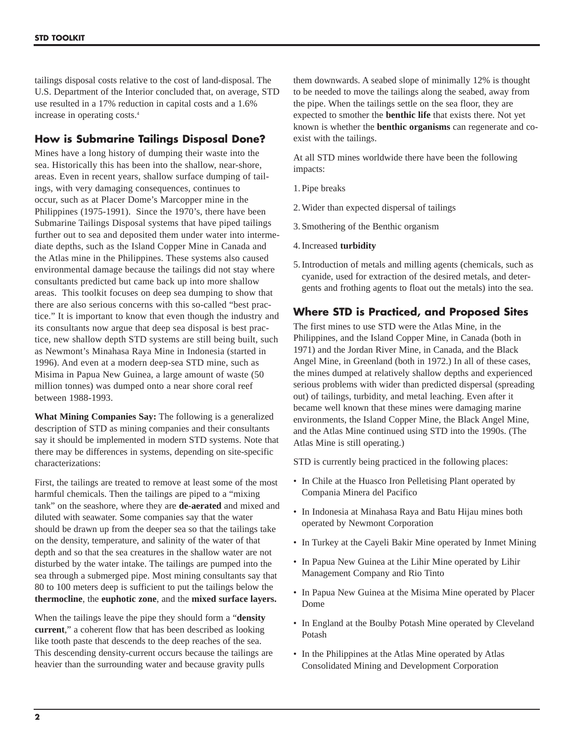tailings disposal costs relative to the cost of land-disposal. The U.S. Department of the Interior concluded that, on average, STD use resulted in a 17% reduction in capital costs and a 1.6% increase in operating costs.4

# **How is Submarine Tailings Disposal Done?**

Mines have a long history of dumping their waste into the sea. Historically this has been into the shallow, near-shore, areas. Even in recent years, shallow surface dumping of tailings, with very damaging consequences, continues to occur, such as at Placer Dome's Marcopper mine in the Philippines (1975-1991). Since the 1970's, there have been Submarine Tailings Disposal systems that have piped tailings further out to sea and deposited them under water into intermediate depths, such as the Island Copper Mine in Canada and the Atlas mine in the Philippines. These systems also caused environmental damage because the tailings did not stay where consultants predicted but came back up into more shallow areas. This toolkit focuses on deep sea dumping to show that there are also serious concerns with this so-called "best practice." It is important to know that even though the industry and its consultants now argue that deep sea disposal is best practice, new shallow depth STD systems are still being built, such as Newmont's Minahasa Raya Mine in Indonesia (started in 1996). And even at a modern deep-sea STD mine, such as Misima in Papua New Guinea, a large amount of waste (50 million tonnes) was dumped onto a near shore coral reef between 1988-1993.

**What Mining Companies Say:** The following is a generalized description of STD as mining companies and their consultants say it should be implemented in modern STD systems. Note that there may be differences in systems, depending on site-specific characterizations:

First, the tailings are treated to remove at least some of the most harmful chemicals. Then the tailings are piped to a "mixing tank" on the seashore, where they are **de-aerated** and mixed and diluted with seawater. Some companies say that the water should be drawn up from the deeper sea so that the tailings take on the density, temperature, and salinity of the water of that depth and so that the sea creatures in the shallow water are not disturbed by the water intake. The tailings are pumped into the sea through a submerged pipe. Most mining consultants say that 80 to 100 meters deep is sufficient to put the tailings below the **thermocline**, the **euphotic zone**, and the **mixed surface layers.**

When the tailings leave the pipe they should form a "**density current**," a coherent flow that has been described as looking like tooth paste that descends to the deep reaches of the sea. This descending density-current occurs because the tailings are heavier than the surrounding water and because gravity pulls

them downwards. A seabed slope of minimally 12% is thought to be needed to move the tailings along the seabed, away from the pipe. When the tailings settle on the sea floor, they are expected to smother the **benthic life** that exists there. Not yet known is whether the **benthic organisms** can regenerate and coexist with the tailings.

At all STD mines worldwide there have been the following impacts:

- 1. Pipe breaks
- 2. Wider than expected dispersal of tailings
- 3. Smothering of the Benthic organism
- 4. Increased **turbidity**
- 5. Introduction of metals and milling agents (chemicals, such as cyanide, used for extraction of the desired metals, and detergents and frothing agents to float out the metals) into the sea.

## **Where STD is Practiced, and Proposed Sites**

The first mines to use STD were the Atlas Mine, in the Philippines, and the Island Copper Mine, in Canada (both in 1971) and the Jordan River Mine, in Canada, and the Black Angel Mine, in Greenland (both in 1972.) In all of these cases, the mines dumped at relatively shallow depths and experienced serious problems with wider than predicted dispersal (spreading out) of tailings, turbidity, and metal leaching. Even after it became well known that these mines were damaging marine environments, the Island Copper Mine, the Black Angel Mine, and the Atlas Mine continued using STD into the 1990s. (The Atlas Mine is still operating.)

STD is currently being practiced in the following places:

- In Chile at the Huasco Iron Pelletising Plant operated by Compania Minera del Pacifico
- In Indonesia at Minahasa Raya and Batu Hijau mines both operated by Newmont Corporation
- In Turkey at the Cayeli Bakir Mine operated by Inmet Mining
- In Papua New Guinea at the Lihir Mine operated by Lihir Management Company and Rio Tinto
- In Papua New Guinea at the Misima Mine operated by Placer Dome
- In England at the Boulby Potash Mine operated by Cleveland Potash
- In the Philippines at the Atlas Mine operated by Atlas Consolidated Mining and Development Corporation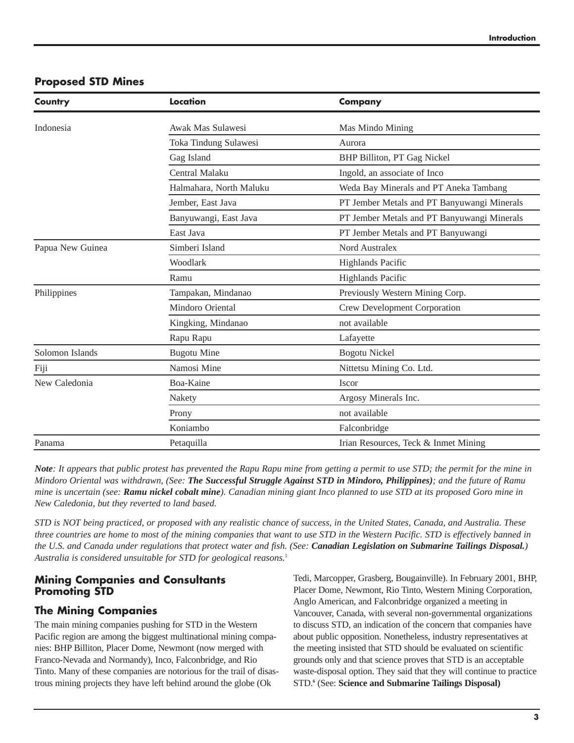## **Proposed STD Mines**

| Country          | Location                | <b>Company</b>                              |
|------------------|-------------------------|---------------------------------------------|
| Indonesia        | Awak Mas Sulawesi       | Mas Mindo Mining                            |
|                  | Toka Tindung Sulawesi   | Aurora                                      |
|                  | Gag Island              | BHP Billiton, PT Gag Nickel                 |
|                  | Central Malaku          | Ingold, an associate of Inco                |
|                  | Halmahara, North Maluku | Weda Bay Minerals and PT Aneka Tambang      |
|                  | Jember, East Java       | PT Jember Metals and PT Banyuwangi Minerals |
|                  | Banyuwangi, East Java   | PT Jember Metals and PT Banyuwangi Minerals |
|                  | East Java               | PT Jember Metals and PT Banyuwangi          |
| Papua New Guinea | Simberi Island          | Nord Australex                              |
|                  | Woodlark                | <b>Highlands Pacific</b>                    |
|                  | Ramu                    | <b>Highlands Pacific</b>                    |
| Philippines      | Tampakan, Mindanao      | Previously Western Mining Corp.             |
|                  | Mindoro Oriental        | Crew Development Corporation                |
|                  | Kingking, Mindanao      | not available                               |
|                  | Rapu Rapu               | Lafayette                                   |
| Solomon Islands  | <b>Bugotu Mine</b>      | <b>Bogotu Nickel</b>                        |
| Fiji             | Namosi Mine             | Nittetsu Mining Co. Ltd.                    |
| New Caledonia    | Boa-Kaine               | Iscor                                       |
|                  | Nakety                  | Argosy Minerals Inc.                        |
|                  | Prony                   | not available                               |
|                  | Koniambo                | Falconbridge                                |
| Panama           | Petaquilla              | Irian Resources, Teck & Inmet Mining        |

*Note: It appears that public protest has prevented the Rapu Rapu mine from getting a permit to use STD; the permit for the mine in Mindoro Oriental was withdrawn, (See: The Successful Struggle Against STD in Mindoro, Philippines); and the future of Ramu mine is uncertain (see: Ramu nickel cobalt mine). Canadian mining giant Inco planned to use STD at its proposed Goro mine in New Caledonia, but they reverted to land based.* 

*STD is NOT being practiced, or proposed with any realistic chance of success, in the United States, Canada, and Australia. These three countries are home to most of the mining companies that want to use STD in the Western Pacific. STD is effectively banned in the U.S. and Canada under regulations that protect water and fish. (See: Canadian Legislation on Submarine Tailings Disposal.) Australia is considered unsuitable for STD for geological reasons.5*

## **Mining Companies and Consultants Promoting STD**

# **The Mining Companies**

The main mining companies pushing for STD in the Western Pacific region are among the biggest multinational mining companies: BHP Billiton, Placer Dome, Newmont (now merged with Franco-Nevada and Normandy), Inco, Falconbridge, and Rio Tinto. Many of these companies are notorious for the trail of disastrous mining projects they have left behind around the globe (Ok

Tedi, Marcopper, Grasberg, Bougainville). In February 2001, BHP, Placer Dome, Newmont, Rio Tinto, Western Mining Corporation, Anglo American, and Falconbridge organized a meeting in Vancouver, Canada, with several non-governmental organizations to discuss STD, an indication of the concern that companies have about public opposition. Nonetheless, industry representatives at the meeting insisted that STD should be evaluated on scientific grounds only and that science proves that STD is an acceptable waste-disposal option. They said that they will continue to practice STD.**<sup>6</sup>** (See: **Science and Submarine Tailings Disposal)**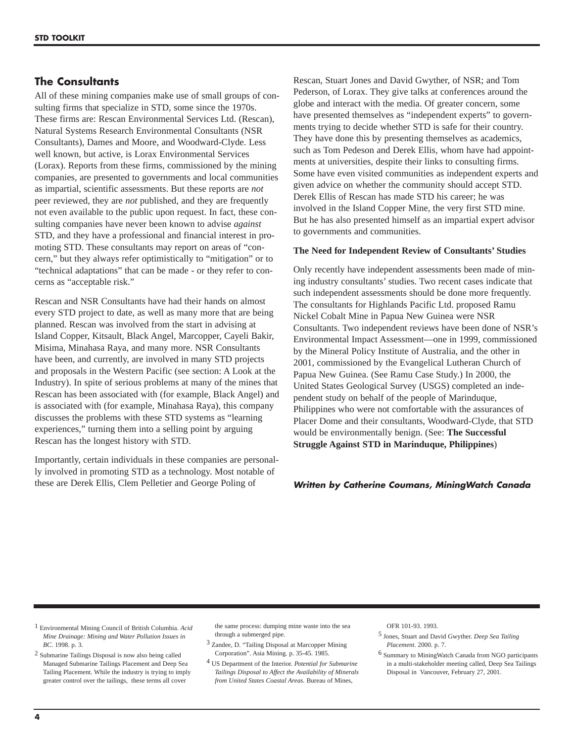## **The Consultants**

All of these mining companies make use of small groups of consulting firms that specialize in STD, some since the 1970s. These firms are: Rescan Environmental Services Ltd. (Rescan), Natural Systems Research Environmental Consultants (NSR Consultants), Dames and Moore, and Woodward-Clyde. Less well known, but active, is Lorax Environmental Services (Lorax). Reports from these firms, commissioned by the mining companies, are presented to governments and local communities as impartial, scientific assessments. But these reports are *not* peer reviewed, they are *not* published, and they are frequently not even available to the public upon request. In fact, these consulting companies have never been known to advise *against* STD, and they have a professional and financial interest in promoting STD. These consultants may report on areas of "concern," but they always refer optimistically to "mitigation" or to "technical adaptations" that can be made - or they refer to concerns as "acceptable risk."

Rescan and NSR Consultants have had their hands on almost every STD project to date, as well as many more that are being planned. Rescan was involved from the start in advising at Island Copper, Kitsault, Black Angel, Marcopper, Cayeli Bakir, Misima, Minahasa Raya, and many more. NSR Consultants have been, and currently, are involved in many STD projects and proposals in the Western Pacific (see section: A Look at the Industry). In spite of serious problems at many of the mines that Rescan has been associated with (for example, Black Angel) and is associated with (for example, Minahasa Raya), this company discusses the problems with these STD systems as "learning experiences," turning them into a selling point by arguing Rescan has the longest history with STD.

Importantly, certain individuals in these companies are personally involved in promoting STD as a technology. Most notable of these are Derek Ellis, Clem Pelletier and George Poling of

Rescan, Stuart Jones and David Gwyther, of NSR; and Tom Pederson, of Lorax. They give talks at conferences around the globe and interact with the media. Of greater concern, some have presented themselves as "independent experts" to governments trying to decide whether STD is safe for their country. They have done this by presenting themselves as academics, such as Tom Pedeson and Derek Ellis, whom have had appointments at universities, despite their links to consulting firms. Some have even visited communities as independent experts and given advice on whether the community should accept STD. Derek Ellis of Rescan has made STD his career; he was involved in the Island Copper Mine, the very first STD mine. But he has also presented himself as an impartial expert advisor to governments and communities.

#### **The Need for Independent Review of Consultants' Studies**

Only recently have independent assessments been made of mining industry consultants' studies. Two recent cases indicate that such independent assessments should be done more frequently. The consultants for Highlands Pacific Ltd. proposed Ramu Nickel Cobalt Mine in Papua New Guinea were NSR Consultants. Two independent reviews have been done of NSR's Environmental Impact Assessment—one in 1999, commissioned by the Mineral Policy Institute of Australia, and the other in 2001, commissioned by the Evangelical Lutheran Church of Papua New Guinea. (See Ramu Case Study.) In 2000, the United States Geological Survey (USGS) completed an independent study on behalf of the people of Marinduque, Philippines who were not comfortable with the assurances of Placer Dome and their consultants, Woodward-Clyde, that STD would be environmentally benign. (See: **The Successful Struggle Against STD in Marinduque, Philippines**)

### **Written by Catherine Coumans, MiningWatch Canada**

1 Environmental Mining Council of British Columbia. *Acid Mine Drainage: Mining and Water Pollution Issues in BC*. 1998. p. 3.

2 Submarine Tailings Disposal is now also being called Managed Submarine Tailings Placement and Deep Sea Tailing Placement. While the industry is trying to imply greater control over the tailings, these terms all cover

the same process: dumping mine waste into the sea through a submerged pipe.

- 3 Zandee, D. "Tailing Disposal at Marcopper Mining Corporation". Asia Mining. p. 35-45. 1985.
- 4 US Department of the Interior. *Potential for Submarine Tailings Disposal to Affect the Availability of Minerals from United States Coastal Areas.* Bureau of Mines,

OFR 101-93. 1993.

<sup>5</sup> Jones, Stuart and David Gwyther. *Deep Sea Tailing Placement*. 2000. p. 7.

<sup>6</sup> Summary to MiningWatch Canada from NGO participants in a multi-stakeholder meeting called, Deep Sea Tailings Disposal in Vancouver, February 27, 2001.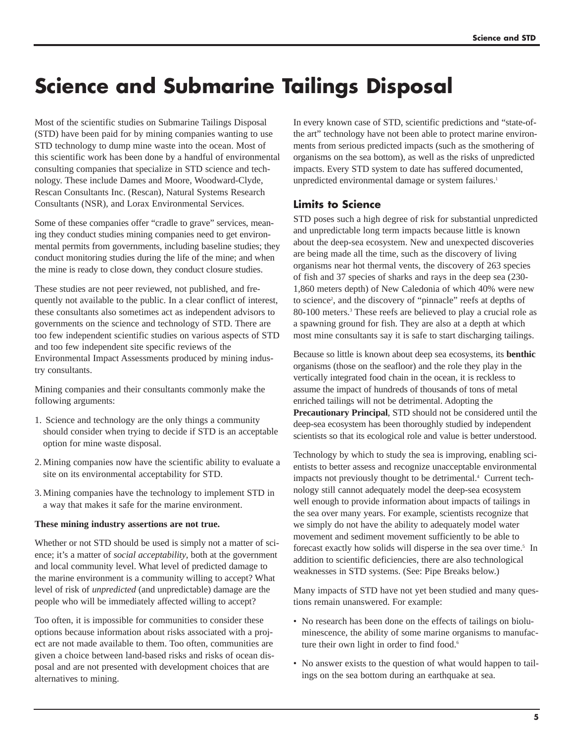# **Science and Submarine Tailings Disposal**

Most of the scientific studies on Submarine Tailings Disposal (STD) have been paid for by mining companies wanting to use STD technology to dump mine waste into the ocean. Most of this scientific work has been done by a handful of environmental consulting companies that specialize in STD science and technology. These include Dames and Moore, Woodward-Clyde, Rescan Consultants Inc. (Rescan), Natural Systems Research Consultants (NSR), and Lorax Environmental Services.

Some of these companies offer "cradle to grave" services, meaning they conduct studies mining companies need to get environmental permits from governments, including baseline studies; they conduct monitoring studies during the life of the mine; and when the mine is ready to close down, they conduct closure studies.

These studies are not peer reviewed, not published, and frequently not available to the public. In a clear conflict of interest, these consultants also sometimes act as independent advisors to governments on the science and technology of STD. There are too few independent scientific studies on various aspects of STD and too few independent site specific reviews of the Environmental Impact Assessments produced by mining industry consultants.

Mining companies and their consultants commonly make the following arguments:

- 1. Science and technology are the only things a community should consider when trying to decide if STD is an acceptable option for mine waste disposal.
- 2. Mining companies now have the scientific ability to evaluate a site on its environmental acceptability for STD.
- 3. Mining companies have the technology to implement STD in a way that makes it safe for the marine environment.

### **These mining industry assertions are not true.**

Whether or not STD should be used is simply not a matter of science; it's a matter of *social acceptability*, both at the government and local community level. What level of predicted damage to the marine environment is a community willing to accept? What level of risk of *unpredicted* (and unpredictable) damage are the people who will be immediately affected willing to accept?

Too often, it is impossible for communities to consider these options because information about risks associated with a project are not made available to them. Too often, communities are given a choice between land-based risks and risks of ocean disposal and are not presented with development choices that are alternatives to mining.

In every known case of STD, scientific predictions and "state-ofthe art" technology have not been able to protect marine environments from serious predicted impacts (such as the smothering of organisms on the sea bottom), as well as the risks of unpredicted impacts. Every STD system to date has suffered documented, unpredicted environmental damage or system failures.<sup>1</sup>

# **Limits to Science**

STD poses such a high degree of risk for substantial unpredicted and unpredictable long term impacts because little is known about the deep-sea ecosystem. New and unexpected discoveries are being made all the time, such as the discovery of living organisms near hot thermal vents, the discovery of 263 species of fish and 37 species of sharks and rays in the deep sea (230- 1,860 meters depth) of New Caledonia of which 40% were new to science<sup>2</sup>, and the discovery of "pinnacle" reefs at depths of 80-100 meters.3 These reefs are believed to play a crucial role as a spawning ground for fish. They are also at a depth at which most mine consultants say it is safe to start discharging tailings.

Because so little is known about deep sea ecosystems, its **benthic** organisms (those on the seafloor) and the role they play in the vertically integrated food chain in the ocean, it is reckless to assume the impact of hundreds of thousands of tons of metal enriched tailings will not be detrimental. Adopting the **Precautionary Principal**, STD should not be considered until the deep-sea ecosystem has been thoroughly studied by independent scientists so that its ecological role and value is better understood.

Technology by which to study the sea is improving, enabling scientists to better assess and recognize unacceptable environmental impacts not previously thought to be detrimental.<sup>4</sup> Current technology still cannot adequately model the deep-sea ecosystem well enough to provide information about impacts of tailings in the sea over many years. For example, scientists recognize that we simply do not have the ability to adequately model water movement and sediment movement sufficiently to be able to forecast exactly how solids will disperse in the sea over time.<sup>5</sup> In addition to scientific deficiencies, there are also technological weaknesses in STD systems. (See: Pipe Breaks below.)

Many impacts of STD have not yet been studied and many questions remain unanswered. For example:

- No research has been done on the effects of tailings on bioluminescence, the ability of some marine organisms to manufacture their own light in order to find food.<sup>6</sup>
- No answer exists to the question of what would happen to tailings on the sea bottom during an earthquake at sea.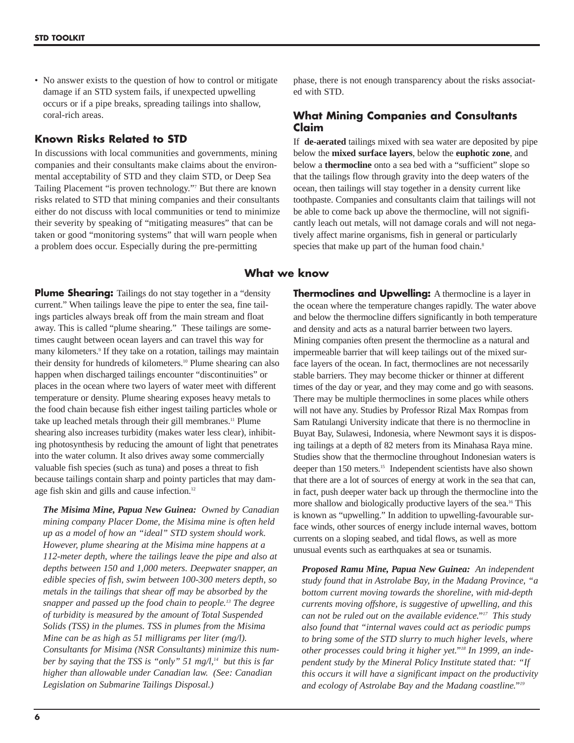• No answer exists to the question of how to control or mitigate damage if an STD system fails, if unexpected upwelling occurs or if a pipe breaks, spreading tailings into shallow, coral-rich areas.

## **Known Risks Related to STD**

In discussions with local communities and governments, mining companies and their consultants make claims about the environmental acceptability of STD and they claim STD, or Deep Sea Tailing Placement "is proven technology."7 But there are known risks related to STD that mining companies and their consultants either do not discuss with local communities or tend to minimize their severity by speaking of "mitigating measures" that can be taken or good "monitoring systems" that will warn people when a problem does occur. Especially during the pre-permitting

phase, there is not enough transparency about the risks associated with STD.

## **What Mining Companies and Consultants Claim**

If **de-aerated** tailings mixed with sea water are deposited by pipe below the **mixed surface layers**, below the **euphotic zone**, and below a **thermocline** onto a sea bed with a "sufficient" slope so that the tailings flow through gravity into the deep waters of the ocean, then tailings will stay together in a density current like toothpaste. Companies and consultants claim that tailings will not be able to come back up above the thermocline, will not significantly leach out metals, will not damage corals and will not negatively affect marine organisms, fish in general or particularly species that make up part of the human food chain.<sup>8</sup>

## **What we know**

**Plume Shearing:** Tailings do not stay together in a "density" current." When tailings leave the pipe to enter the sea, fine tailings particles always break off from the main stream and float away. This is called "plume shearing." These tailings are sometimes caught between ocean layers and can travel this way for many kilometers.<sup>9</sup> If they take on a rotation, tailings may maintain their density for hundreds of kilometers.10 Plume shearing can also happen when discharged tailings encounter "discontinuities" or places in the ocean where two layers of water meet with different temperature or density. Plume shearing exposes heavy metals to the food chain because fish either ingest tailing particles whole or take up leached metals through their gill membranes.11 Plume shearing also increases turbidity (makes water less clear), inhibiting photosynthesis by reducing the amount of light that penetrates into the water column. It also drives away some commercially valuable fish species (such as tuna) and poses a threat to fish because tailings contain sharp and pointy particles that may damage fish skin and gills and cause infection.<sup>12</sup>

*The Misima Mine, Papua New Guinea: Owned by Canadian mining company Placer Dome, the Misima mine is often held up as a model of how an "ideal" STD system should work. However, plume shearing at the Misima mine happens at a 112-meter depth, where the tailings leave the pipe and also at depths between 150 and 1,000 meters. Deepwater snapper, an edible species of fish, swim between 100-300 meters depth, so metals in the tailings that shear off may be absorbed by the snapper and passed up the food chain to people.13 The degree of turbidity is measured by the amount of Total Suspended Solids (TSS) in the plumes. TSS in plumes from the Misima Mine can be as high as 51 milligrams per liter (mg/l). Consultants for Misima (NSR Consultants) minimize this number by saying that the TSS is "only" 51 mg/l,<sup>14</sup> <i>but this is far higher than allowable under Canadian law. (See: Canadian Legislation on Submarine Tailings Disposal.)* 

**Thermoclines and Upwelling:** A thermocline is a layer in the ocean where the temperature changes rapidly. The water above and below the thermocline differs significantly in both temperature and density and acts as a natural barrier between two layers. Mining companies often present the thermocline as a natural and impermeable barrier that will keep tailings out of the mixed surface layers of the ocean. In fact, thermoclines are not necessarily stable barriers. They may become thicker or thinner at different times of the day or year, and they may come and go with seasons. There may be multiple thermoclines in some places while others will not have any. Studies by Professor Rizal Max Rompas from Sam Ratulangi University indicate that there is no thermocline in Buyat Bay, Sulawesi, Indonesia, where Newmont says it is disposing tailings at a depth of 82 meters from its Minahasa Raya mine. Studies show that the thermocline throughout Indonesian waters is deeper than 150 meters.<sup>15</sup> Independent scientists have also shown that there are a lot of sources of energy at work in the sea that can, in fact, push deeper water back up through the thermocline into the more shallow and biologically productive layers of the sea.<sup>16</sup> This is known as "upwelling." In addition to upwelling-favourable surface winds, other sources of energy include internal waves, bottom currents on a sloping seabed, and tidal flows, as well as more unusual events such as earthquakes at sea or tsunamis.

*Proposed Ramu Mine, Papua New Guinea: An independent study found that in Astrolabe Bay, in the Madang Province, "a bottom current moving towards the shoreline, with mid-depth currents moving offshore, is suggestive of upwelling, and this can not be ruled out on the available evidence."17 This study also found that "internal waves could act as periodic pumps to bring some of the STD slurry to much higher levels, where other processes could bring it higher yet."18 In 1999, an independent study by the Mineral Policy Institute stated that: "If this occurs it will have a significant impact on the productivity and ecology of Astrolabe Bay and the Madang coastline."19*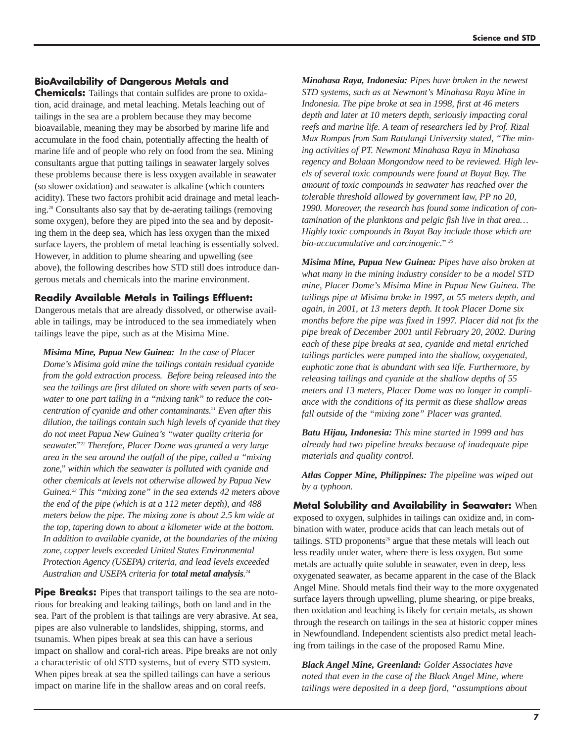## **BioAvailability of Dangerous Metals and**

**Chemicals:** Tailings that contain sulfides are prone to oxidation, acid drainage, and metal leaching. Metals leaching out of tailings in the sea are a problem because they may become bioavailable, meaning they may be absorbed by marine life and accumulate in the food chain, potentially affecting the health of marine life and of people who rely on food from the sea. Mining consultants argue that putting tailings in seawater largely solves these problems because there is less oxygen available in seawater (so slower oxidation) and seawater is alkaline (which counters acidity). These two factors prohibit acid drainage and metal leaching.20 Consultants also say that by de-aerating tailings (removing some oxygen), before they are piped into the sea and by depositing them in the deep sea, which has less oxygen than the mixed surface layers, the problem of metal leaching is essentially solved. However, in addition to plume shearing and upwelling (see above), the following describes how STD still does introduce dangerous metals and chemicals into the marine environment.

## **Readily Available Metals in Tailings Effluent:**

Dangerous metals that are already dissolved, or otherwise available in tailings, may be introduced to the sea immediately when tailings leave the pipe, such as at the Misima Mine.

*Misima Mine, Papua New Guinea: In the case of Placer Dome's Misima gold mine the tailings contain residual cyanide from the gold extraction process. Before being released into the sea the tailings are first diluted on shore with seven parts of seawater to one part tailing in a "mixing tank" to reduce the concentration of cyanide and other contaminants.21 Even after this dilution, the tailings contain such high levels of cyanide that they do not meet Papua New Guinea's "water quality criteria for seawater."22 Therefore, Placer Dome was granted a very large area in the sea around the outfall of the pipe, called a "mixing zone," within which the seawater is polluted with cyanide and other chemicals at levels not otherwise allowed by Papua New Guinea.23 This "mixing zone" in the sea extends 42 meters above the end of the pipe (which is at a 112 meter depth), and 488 meters below the pipe. The mixing zone is about 2.5 km wide at the top, tapering down to about a kilometer wide at the bottom. In addition to available cyanide, at the boundaries of the mixing zone, copper levels exceeded United States Environmental Protection Agency (USEPA) criteria, and lead levels exceeded Australian and USEPA criteria for total metal analysis. 24*

**Pipe Breaks:** Pipes that transport tailings to the sea are notorious for breaking and leaking tailings, both on land and in the sea. Part of the problem is that tailings are very abrasive. At sea, pipes are also vulnerable to landslides, shipping, storms, and tsunamis. When pipes break at sea this can have a serious impact on shallow and coral-rich areas. Pipe breaks are not only a characteristic of old STD systems, but of every STD system. When pipes break at sea the spilled tailings can have a serious impact on marine life in the shallow areas and on coral reefs.

*Minahasa Raya, Indonesia: Pipes have broken in the newest STD systems, such as at Newmont's Minahasa Raya Mine in Indonesia. The pipe broke at sea in 1998, first at 46 meters depth and later at 10 meters depth, seriously impacting coral reefs and marine life. A team of researchers led by Prof. Rizal Max Rompas from Sam Ratulangi University stated, "The mining activities of PT. Newmont Minahasa Raya in Minahasa regency and Bolaan Mongondow need to be reviewed. High levels of several toxic compounds were found at Buyat Bay. The amount of toxic compounds in seawater has reached over the tolerable threshold allowed by government law, PP no 20, 1990. Moreover, the research has found some indication of contamination of the planktons and pelgic fish live in that area… Highly toxic compounds in Buyat Bay include those which are bio-accucumulative and carcinogenic." <sup>25</sup>*

*Misima Mine, Papua New Guinea: Pipes have also broken at what many in the mining industry consider to be a model STD mine, Placer Dome's Misima Mine in Papua New Guinea. The tailings pipe at Misima broke in 1997, at 55 meters depth, and again, in 2001, at 13 meters depth. It took Placer Dome six months before the pipe was fixed in 1997. Placer did not fix the pipe break of December 2001 until February 20, 2002. During each of these pipe breaks at sea, cyanide and metal enriched tailings particles were pumped into the shallow, oxygenated, euphotic zone that is abundant with sea life. Furthermore, by releasing tailings and cyanide at the shallow depths of 55 meters and 13 meters, Placer Dome was no longer in compliance with the conditions of its permit as these shallow areas fall outside of the "mixing zone" Placer was granted.* 

*Batu Hijau, Indonesia: This mine started in 1999 and has already had two pipeline breaks because of inadequate pipe materials and quality control.* 

*Atlas Copper Mine, Philippines: The pipeline was wiped out by a typhoon.*

**Metal Solubility and Availability in Seawater:** When exposed to oxygen, sulphides in tailings can oxidize and, in combination with water, produce acids that can leach metals out of tailings. STD proponents<sup>26</sup> argue that these metals will leach out less readily under water, where there is less oxygen. But some metals are actually quite soluble in seawater, even in deep, less oxygenated seawater, as became apparent in the case of the Black Angel Mine. Should metals find their way to the more oxygenated surface layers through upwelling, plume shearing, or pipe breaks, then oxidation and leaching is likely for certain metals, as shown through the research on tailings in the sea at historic copper mines in Newfoundland. Independent scientists also predict metal leaching from tailings in the case of the proposed Ramu Mine.

*Black Angel Mine, Greenland: Golder Associates have noted that even in the case of the Black Angel Mine, where tailings were deposited in a deep fjord, "assumptions about*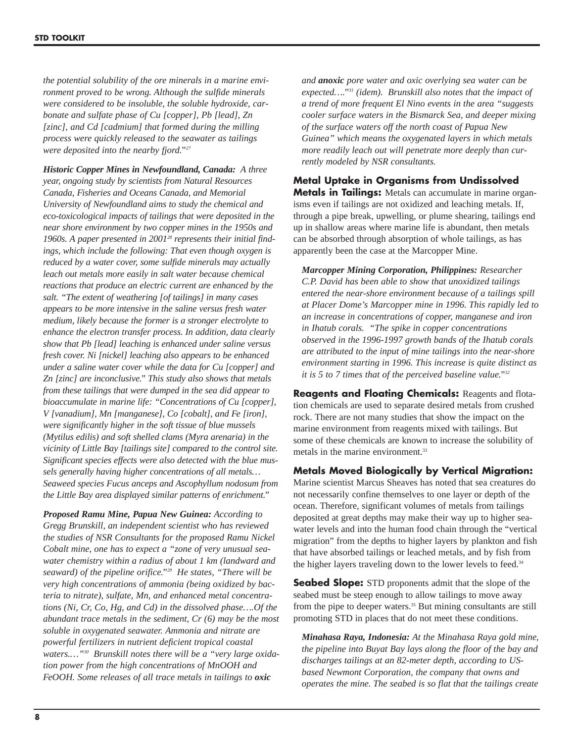*the potential solubility of the ore minerals in a marine environment proved to be wrong. Although the sulfide minerals were considered to be insoluble, the soluble hydroxide, carbonate and sulfate phase of Cu [copper], Pb [lead], Zn [zinc], and Cd [cadmium] that formed during the milling process were quickly released to the seawater as tailings were deposited into the nearby fjord."27*

*Historic Copper Mines in Newfoundland, Canada: A three year, ongoing study by scientists from Natural Resources Canada, Fisheries and Oceans Canada, and Memorial University of Newfoundland aims to study the chemical and eco-toxicological impacts of tailings that were deposited in the near shore environment by two copper mines in the 1950s and 1960s. A paper presented in 200128 represents their initial findings, which include the following: That even though oxygen is reduced by a water cover, some sulfide minerals may actually leach out metals more easily in salt water because chemical reactions that produce an electric current are enhanced by the salt. "The extent of weathering [of tailings] in many cases appears to be more intensive in the saline versus fresh water medium, likely because the former is a stronger electrolyte to enhance the electron transfer process. In addition, data clearly show that Pb [lead] leaching is enhanced under saline versus fresh cover. Ni [nickel] leaching also appears to be enhanced under a saline water cover while the data for Cu [copper] and Zn [zinc] are inconclusive." This study also shows that metals from these tailings that were dumped in the sea did appear to bioaccumulate in marine life: "Concentrations of Cu [copper], V [vanadium], Mn [manganese], Co [cobalt], and Fe [iron], were significantly higher in the soft tissue of blue mussels (Mytilus edilis) and soft shelled clams (Myra arenaria) in the vicinity of Little Bay [tailings site] compared to the control site. Significant species effects were also detected with the blue mussels generally having higher concentrations of all metals… Seaweed species Fucus anceps and Ascophyllum nodosum from the Little Bay area displayed similar patterns of enrichment."*

*Proposed Ramu Mine, Papua New Guinea: According to Gregg Brunskill, an independent scientist who has reviewed the studies of NSR Consultants for the proposed Ramu Nickel Cobalt mine, one has to expect a "zone of very unusual seawater chemistry within a radius of about 1 km (landward and seaward) of the pipeline orifice."29 He states, "There will be very high concentrations of ammonia (being oxidized by bacteria to nitrate), sulfate, Mn, and enhanced metal concentrations (Ni, Cr, Co, Hg, and Cd) in the dissolved phase….Of the abundant trace metals in the sediment, Cr (6) may be the most soluble in oxygenated seawater. Ammonia and nitrate are powerful fertilizers in nutrient deficient tropical coastal waters.…"30 Brunskill notes there will be a "very large oxidation power from the high concentrations of MnOOH and FeOOH. Some releases of all trace metals in tailings to oxic*

*and anoxic pore water and oxic overlying sea water can be expected…."31 (idem). Brunskill also notes that the impact of a trend of more frequent El Nino events in the area "suggests cooler surface waters in the Bismarck Sea, and deeper mixing of the surface waters off the north coast of Papua New Guinea" which means the oxygenated layers in which metals more readily leach out will penetrate more deeply than currently modeled by NSR consultants.*

# **Metal Uptake in Organisms from Undissolved**

**Metals in Tailings:** Metals can accumulate in marine organisms even if tailings are not oxidized and leaching metals. If, through a pipe break, upwelling, or plume shearing, tailings end up in shallow areas where marine life is abundant, then metals can be absorbed through absorption of whole tailings, as has apparently been the case at the Marcopper Mine.

*Marcopper Mining Corporation, Philippines: Researcher C.P. David has been able to show that unoxidized tailings entered the near-shore environment because of a tailings spill at Placer Dome's Marcopper mine in 1996. This rapidly led to an increase in concentrations of copper, manganese and iron in Ihatub corals. "The spike in copper concentrations observed in the 1996-1997 growth bands of the Ihatub corals are attributed to the input of mine tailings into the near-shore environment starting in 1996. This increase is quite distinct as it is 5 to 7 times that of the perceived baseline value."32*

**Reagents and Floating Chemicals:** Reagents and flotation chemicals are used to separate desired metals from crushed rock. There are not many studies that show the impact on the marine environment from reagents mixed with tailings. But some of these chemicals are known to increase the solubility of metals in the marine environment.<sup>33</sup>

**Metals Moved Biologically by Vertical Migration:** Marine scientist Marcus Sheaves has noted that sea creatures do not necessarily confine themselves to one layer or depth of the ocean. Therefore, significant volumes of metals from tailings deposited at great depths may make their way up to higher seawater levels and into the human food chain through the "vertical migration" from the depths to higher layers by plankton and fish that have absorbed tailings or leached metals, and by fish from the higher layers traveling down to the lower levels to feed.34

**Seabed Slope:** STD proponents admit that the slope of the seabed must be steep enough to allow tailings to move away from the pipe to deeper waters.<sup>35</sup> But mining consultants are still promoting STD in places that do not meet these conditions.

*Minahasa Raya, Indonesia: At the Minahasa Raya gold mine, the pipeline into Buyat Bay lays along the floor of the bay and discharges tailings at an 82-meter depth, according to USbased Newmont Corporation, the company that owns and operates the mine. The seabed is so flat that the tailings create*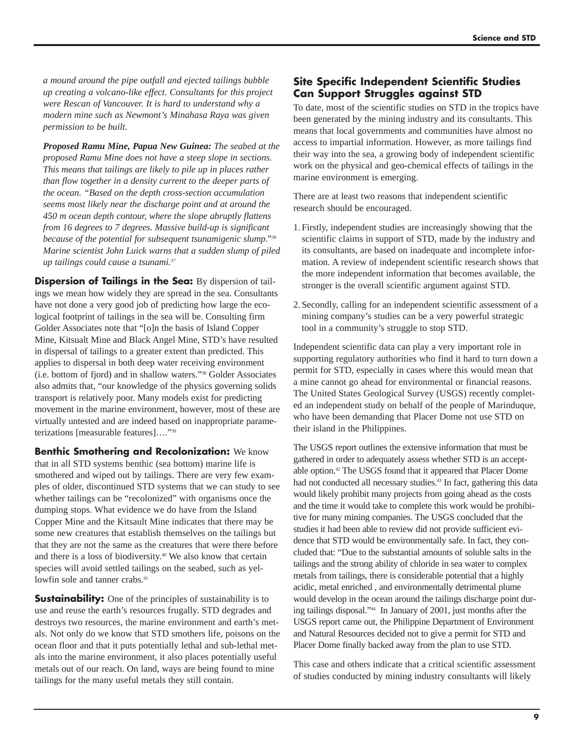*a mound around the pipe outfall and ejected tailings bubble up creating a volcano-like effect. Consultants for this project were Rescan of Vancouver. It is hard to understand why a modern mine such as Newmont's Minahasa Raya was given permission to be built.* 

*Proposed Ramu Mine, Papua New Guinea: The seabed at the proposed Ramu Mine does not have a steep slope in sections. This means that tailings are likely to pile up in places rather than flow together in a density current to the deeper parts of the ocean. "Based on the depth cross-section accumulation seems most likely near the discharge point and at around the 450 m ocean depth contour, where the slope abruptly flattens from 16 degrees to 7 degrees. Massive build-up is significant because of the potential for subsequent tsunamigenic slump."36 Marine scientist John Luick warns that a sudden slump of piled up tailings could cause a tsunami.37*

**Dispersion of Tailings in the Sea:** By dispersion of tailings we mean how widely they are spread in the sea. Consultants have not done a very good job of predicting how large the ecological footprint of tailings in the sea will be. Consulting firm Golder Associates note that "[o]n the basis of Island Copper Mine, Kitsualt Mine and Black Angel Mine, STD's have resulted in dispersal of tailings to a greater extent than predicted. This applies to dispersal in both deep water receiving environment (i.e. bottom of fjord) and in shallow waters."38 Golder Associates also admits that, "our knowledge of the physics governing solids transport is relatively poor. Many models exist for predicting movement in the marine environment, however, most of these are virtually untested and are indeed based on inappropriate parameterizations [measurable features]…."39

**Benthic Smothering and Recolonization:** We know that in all STD systems benthic (sea bottom) marine life is smothered and wiped out by tailings. There are very few examples of older, discontinued STD systems that we can study to see whether tailings can be "recolonized" with organisms once the dumping stops. What evidence we do have from the Island Copper Mine and the Kitsault Mine indicates that there may be some new creatures that establish themselves on the tailings but that they are not the same as the creatures that were there before and there is a loss of biodiversity.40 We also know that certain species will avoid settled tailings on the seabed, such as yellowfin sole and tanner crabs.<sup>41</sup>

**Sustainability:** One of the principles of sustainability is to use and reuse the earth's resources frugally. STD degrades and destroys two resources, the marine environment and earth's metals. Not only do we know that STD smothers life, poisons on the ocean floor and that it puts potentially lethal and sub-lethal metals into the marine environment, it also places potentially useful metals out of our reach. On land, ways are being found to mine tailings for the many useful metals they still contain.

## **Site Specific Independent Scientific Studies Can Support Struggles against STD**

To date, most of the scientific studies on STD in the tropics have been generated by the mining industry and its consultants. This means that local governments and communities have almost no access to impartial information. However, as more tailings find their way into the sea, a growing body of independent scientific work on the physical and geo-chemical effects of tailings in the marine environment is emerging.

There are at least two reasons that independent scientific research should be encouraged.

- 1. Firstly, independent studies are increasingly showing that the scientific claims in support of STD, made by the industry and its consultants, are based on inadequate and incomplete information. A review of independent scientific research shows that the more independent information that becomes available, the stronger is the overall scientific argument against STD.
- 2. Secondly, calling for an independent scientific assessment of a mining company's studies can be a very powerful strategic tool in a community's struggle to stop STD.

Independent scientific data can play a very important role in supporting regulatory authorities who find it hard to turn down a permit for STD, especially in cases where this would mean that a mine cannot go ahead for environmental or financial reasons. The United States Geological Survey (USGS) recently completed an independent study on behalf of the people of Marinduque, who have been demanding that Placer Dome not use STD on their island in the Philippines.

The USGS report outlines the extensive information that must be gathered in order to adequately assess whether STD is an acceptable option.42 The USGS found that it appeared that Placer Dome had not conducted all necessary studies.<sup>43</sup> In fact, gathering this data would likely prohibit many projects from going ahead as the costs and the time it would take to complete this work would be prohibitive for many mining companies. The USGS concluded that the studies it had been able to review did not provide sufficient evidence that STD would be environmentally safe. In fact, they concluded that: "Due to the substantial amounts of soluble salts in the tailings and the strong ability of chloride in sea water to complex metals from tailings, there is considerable potential that a highly acidic, metal enriched , and environmentally detrimental plume would develop in the ocean around the tailings discharge point during tailings disposal."44 In January of 2001, just months after the USGS report came out, the Philippine Department of Environment and Natural Resources decided not to give a permit for STD and Placer Dome finally backed away from the plan to use STD.

This case and others indicate that a critical scientific assessment of studies conducted by mining industry consultants will likely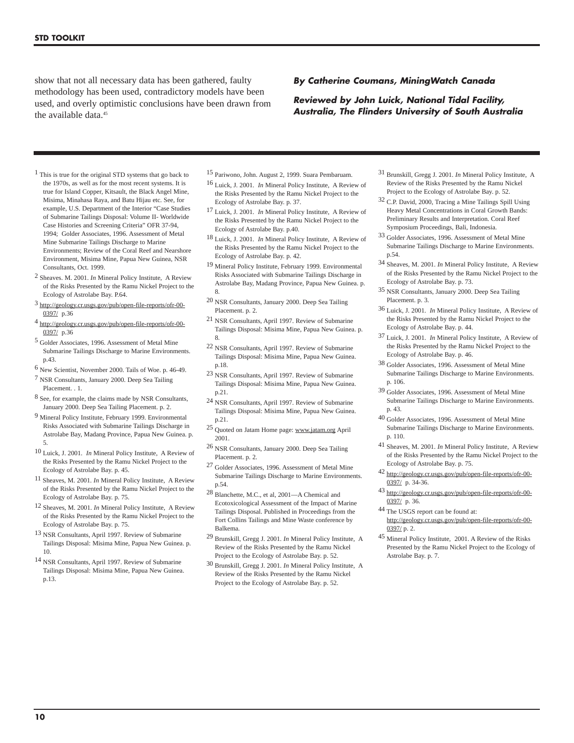show that not all necessary data has been gathered, faulty methodology has been used, contradictory models have been used, and overly optimistic conclusions have been drawn from the available data.<sup>45</sup>

#### **By Catherine Coumans, MiningWatch Canada**

**Reviewed by John Luick, National Tidal Facility, Australia, The Flinders University of South Australia**

- 1 This is true for the original STD systems that go back to the 1970s, as well as for the most recent systems. It is true for Island Copper, Kitsault, the Black Angel Mine, Misima, Minahasa Raya, and Batu Hijau etc. See, for example, U.S. Department of the Interior "Case Studies of Submarine Tailings Disposal: Volume II- Worldwide Case Histories and Screening Criteria" OFR 37-94, 1994; Golder Associates, 1996. Assessment of Metal Mine Submarine Tailings Discharge to Marine Environments; Review of the Coral Reef and Nearshore Environment, Misima Mine, Papua New Guinea, NSR Consultants, Oct. 1999.
- 2 Sheaves. M. 2001. *In* Mineral Policy Institute, A Review of the Risks Presented by the Ramu Nickel Project to the Ecology of Astrolabe Bay. P.64.
- 3 http://geology.cr.usgs.gov/pub/open-file-reports/ofr-00- 0397/ p.36
- 4 http://geology.cr.usgs.gov/pub/open-file-reports/ofr-00- 0397/ p.36
- 5 Golder Associates, 1996. Assessment of Metal Mine Submarine Tailings Discharge to Marine Environments. p.43.
- 6 New Scientist, November 2000. Tails of Woe. p. 46-49.
- 7 NSR Consultants, January 2000. Deep Sea Tailing Placement. . 1.
- 8 See, for example, the claims made by NSR Consultants, January 2000. Deep Sea Tailing Placement. p. 2.
- 9 Mineral Policy Institute, February 1999. Environmental Risks Associated with Submarine Tailings Discharge in Astrolabe Bay, Madang Province, Papua New Guinea. p. 5.
- 10 Luick, J. 2001. *In* Mineral Policy Institute, A Review of the Risks Presented by the Ramu Nickel Project to the Ecology of Astrolabe Bay. p. 45.
- 11 Sheaves, M. 2001. *In* Mineral Policy Institute, A Review of the Risks Presented by the Ramu Nickel Project to the Ecology of Astrolabe Bay. p. 75.
- 12 Sheaves, M. 2001. *In* Mineral Policy Institute, A Review of the Risks Presented by the Ramu Nickel Project to the Ecology of Astrolabe Bay. p. 75.
- 13 NSR Consultants, April 1997. Review of Submarine Tailings Disposal: Misima Mine, Papua New Guinea. p. 10.
- 14 NSR Consultants, April 1997. Review of Submarine Tailings Disposal: Misima Mine, Papua New Guinea. p.13.
- 15 Pariwono, John. August 2, 1999. Suara Pembaruam.
- 16 Luick, J. 2001. *In* Mineral Policy Institute, A Review of the Risks Presented by the Ramu Nickel Project to the Ecology of Astrolabe Bay. p. 37.
- 17 Luick, J. 2001. *In* Mineral Policy Institute, A Review of the Risks Presented by the Ramu Nickel Project to the Ecology of Astrolabe Bay. p.40.
- 18 Luick, J. 2001. *In* Mineral Policy Institute, A Review of the Risks Presented by the Ramu Nickel Project to the Ecology of Astrolabe Bay. p. 42.
- 19 Mineral Policy Institute, February 1999. Environmental Risks Associated with Submarine Tailings Discharge in Astrolabe Bay, Madang Province, Papua New Guinea. p. 8.
- 20 NSR Consultants, January 2000. Deep Sea Tailing Placement. p. 2.
- 21 NSR Consultants, April 1997. Review of Submarine Tailings Disposal: Misima Mine, Papua New Guinea. p. 8.
- 22 NSR Consultants, April 1997. Review of Submarine Tailings Disposal: Misima Mine, Papua New Guinea. p.18.
- 23 NSR Consultants, April 1997. Review of Submarine Tailings Disposal: Misima Mine, Papua New Guinea. p.21.
- 24 NSR Consultants, April 1997. Review of Submarine Tailings Disposal: Misima Mine, Papua New Guinea. p.21.
- 25 Quoted on Jatam Home page: www.jatam.org April 2001.
- 26 NSR Consultants, January 2000. Deep Sea Tailing Placement. p. 2.
- 27 Golder Associates, 1996. Assessment of Metal Mine Submarine Tailings Discharge to Marine Environments. p.54.
- 28 Blanchette, M.C., et al, 2001—A Chemical and Ecotoxicological Assessment of the Impact of Marine Tailings Disposal. Published in Proceedings from the Fort Collins Tailings and Mine Waste conference by Balkema.
- 29 Brunskill, Gregg J. 2001. *In* Mineral Policy Institute, A Review of the Risks Presented by the Ramu Nickel Project to the Ecology of Astrolabe Bay. p. 52.
- 30 Brunskill, Gregg J. 2001. *In* Mineral Policy Institute, A Review of the Risks Presented by the Ramu Nickel Project to the Ecology of Astrolabe Bay. p. 52.
- 31 Brunskill, Gregg J. 2001. *In* Mineral Policy Institute, A Review of the Risks Presented by the Ramu Nickel Project to the Ecology of Astrolabe Bay. p. 52.
- 32 C.P. David, 2000, Tracing a Mine Tailings Spill Using Heavy Metal Concentrations in Coral Growth Bands: Preliminary Results and Interpretation. Coral Reef Symposium Proceedings, Bali, Indonesia.
- 33 Golder Associates, 1996. Assessment of Metal Mine Submarine Tailings Discharge to Marine Environments. p.54.
- 34 Sheaves, M. 2001. *In* Mineral Policy Institute, A Review of the Risks Presented by the Ramu Nickel Project to the Ecology of Astrolabe Bay. p. 73.
- 35 NSR Consultants, January 2000. Deep Sea Tailing Placement. p. 3.
- 36 Luick, J. 2001. *In* Mineral Policy Institute, A Review of the Risks Presented by the Ramu Nickel Project to the Ecology of Astrolabe Bay. p. 44.
- 37 Luick, J. 2001. *In* Mineral Policy Institute, A Review of the Risks Presented by the Ramu Nickel Project to the Ecology of Astrolabe Bay. p. 46.
- 38 Golder Associates, 1996. Assessment of Metal Mine Submarine Tailings Discharge to Marine Environments. p. 106.
- 39 Golder Associates, 1996. Assessment of Metal Mine Submarine Tailings Discharge to Marine Environments. p. 43.
- 40 Golder Associates, 1996. Assessment of Metal Mine Submarine Tailings Discharge to Marine Environments. p. 110.
- 41 Sheaves, M. 2001. *In* Mineral Policy Institute, A Review of the Risks Presented by the Ramu Nickel Project to the Ecology of Astrolabe Bay. p. 75.
- 42 http://geology.cr.usgs.gov/pub/open-file-reports/ofr-00- 0397/ p. 34-36.
- 43 http://geology.cr.usgs.gov/pub/open-file-reports/ofr-00- 0397/ p. 36.
- 44 The USGS report can be found at: http://geology.cr.usgs.gov/pub/open-file-reports/ofr-00- 0397/ p. 2.
- 45 Mineral Policy Institute, 2001. A Review of the Risks Presented by the Ramu Nickel Project to the Ecology of Astrolabe Bay. p. 7.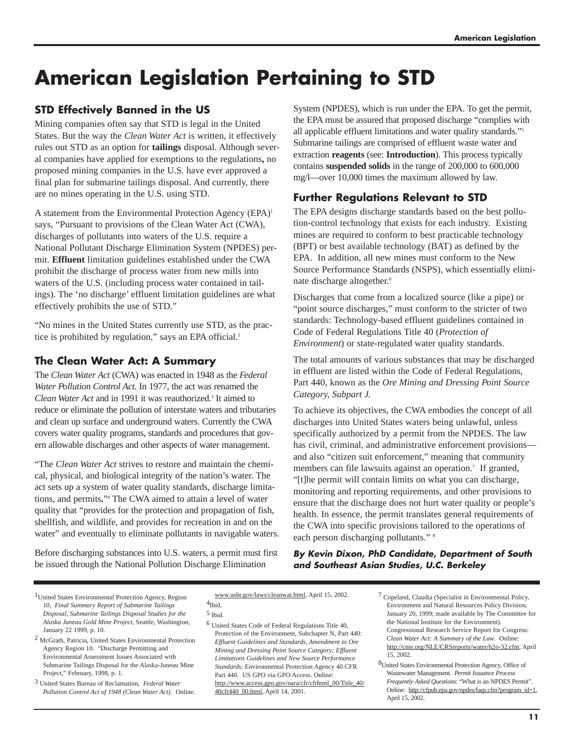# **American Legislation Pertaining to STD**

# **STD Effectively Banned in the US**

Mining companies often say that STD is legal in the United States. But the way the *Clean Water Act* is written, it effectively rules out STD as an option for **tailings** disposal. Although several companies have applied for exemptions to the regulations**,** no proposed mining companies in the U.S. have ever approved a final plan for submarine tailings disposal. And currently, there are no mines operating in the U.S. using STD.

A statement from the Environmental Protection Agency (EPA)<sup>1</sup> says, "Pursuant to provisions of the Clean Water Act (CWA), discharges of pollutants into waters of the U.S. require a National Pollutant Discharge Elimination System (NPDES) permit. **Effluent** limitation guidelines established under the CWA prohibit the discharge of process water from new mills into waters of the U.S. (including process water contained in tailings). The 'no discharge' effluent limitation guidelines are what effectively prohibits the use of STD."

"No mines in the United States currently use STD, as the practice is prohibited by regulation," says an EPA official.<sup>2</sup>

# **The Clean Water Act: A Summary**

The *Clean Water Act* (CWA) was enacted in 1948 as the *Federal Water Pollution Control Act*. In 1977, the act was renamed the *Clean Water Act* and in 1991 it was reauthorized.3 It aimed to reduce or eliminate the pollution of interstate waters and tributaries and clean up surface and underground waters. Currently the CWA covers water quality programs, standards and procedures that govern allowable discharges and other aspects of water management.

"The *Clean Water Act* strives to restore and maintain the chemical, physical, and biological integrity of the nation's water. The act sets up a system of water quality standards, discharge limitations, and permits**.**"4 The CWA aimed to attain a level of water quality that "provides for the protection and propagation of fish, shellfish, and wildlife, and provides for recreation in and on the water" and eventually to eliminate pollutants in navigable waters.

Before discharging substances into U.S. waters, a permit must first be issued through the National Pollution Discharge Elimination

System (NPDES), which is run under the EPA. To get the permit, the EPA must be assured that proposed discharge "complies with all applicable effluent limitations and water quality standards."5 Submarine tailings are comprised of effluent waste water and extraction **reagents** (see: **Introduction**). This process typically contains **suspended solids** in the range of 200,000 to 600,000 mg/l—over 10,000 times the maximum allowed by law.

# **Further Regulations Relevant to STD**

The EPA designs discharge standards based on the best pollution-control technology that exists for each industry. Existing mines are required to conform to best practicable technology (BPT) or best available technology (BAT) as defined by the EPA. In addition, all new mines must conform to the New Source Performance Standards (NSPS), which essentially eliminate discharge altogether.6

Discharges that come from a localized source (like a pipe) or "point source discharges," must conform to the stricter of two standards: Technology-based effluent guidelines contained in Code of Federal Regulations Title 40 (*Protection of Environment*) or state-regulated water quality standards.

The total amounts of various substances that may be discharged in effluent are listed within the Code of Federal Regulations, Part 440, known as the *Ore Mining and Dressing Point Source Category, Subpart J.*

To achieve its objectives, the CWA embodies the concept of all discharges into United States waters being unlawful, unless specifically authorized by a permit from the NPDES. The law has civil, criminal, and administrative enforcement provisions and also "citizen suit enforcement," meaning that community members can file lawsuits against an operation.<sup>7</sup> If granted, "[t]he permit will contain limits on what you can discharge, monitoring and reporting requirements, and other provisions to ensure that the discharge does not hurt water quality or people's health. In essence, the permit translates general requirements of the CWA into specific provisions tailored to the operations of each person discharging pollutants." 8

## **By Kevin Dixon, PhD Candidate, Department of South and Southeast Asian Studies, U.C. Berkeley**

3 United States Bureau of Reclamation, *Federal Water Pollution Control Act of 1948 (Clean Water Act)*. Online.

www.usbr.gov/laws/cleanwat.html, April 15, 2002. <sup>4</sup>Ibid.

8United States Environmental Protection Agency, Office of Wastewater Management. *Permit Issuance Process Frequently Asked Questions*: "What is an NPDES Permit". Online: http://cfpub.epa.gov/npdes/faqs.cfm?program\_id=1, April 15, 2002.

<sup>1</sup>United States Environmental Protection Agency, Region 10, *Final Summary Report of Submarine Tailings Disposal, Submarine Tailings Disposal Studies for the Alaska Juneau Gold Mine Project*, Seattle, Washington, January 22 1999, p. 10.

<sup>2</sup> McGrath, Patricia, United States Environmental Protection Agency Region 10. "Discharge Permitting and Environmental Assessment Issues Associated with Submarine Tailings Disposal for the Alaska-Juneau Mine Project," February, 1998, p. 1.

<sup>5</sup> Ibid.

<sup>6</sup> United States Code of Federal Regulations Title 40, Protection of the Environment, Subchapter N, Part 440: *Effluent Guidelines and Standards, Amendment to Ore Mining and Dressing Point Source Category; Effluent Limitations Guidelines and New Source Performance Standards*; Environmental Protection Agency 40 CFR Part 440. US GPO via GPO Access. Online: http://www.access.gpo.gov/nara/cfr/cfrhtml\_00/Title\_40/ 40cfr440\_00.html, April 14, 2001.

<sup>7</sup> Copeland, Claudia (Specialist in Environmental Policy, Environment and Natural Resources Policy Division, January 20, 1999; made available by The Committee for the National Institute for the Environment). Congressional Research Service Report for Congress: *Clean Water Act: A Summary of the Law*. Online: http://cnie.org/NLE/CRSreports/water/h2o-32.cfm, April 15, 2002.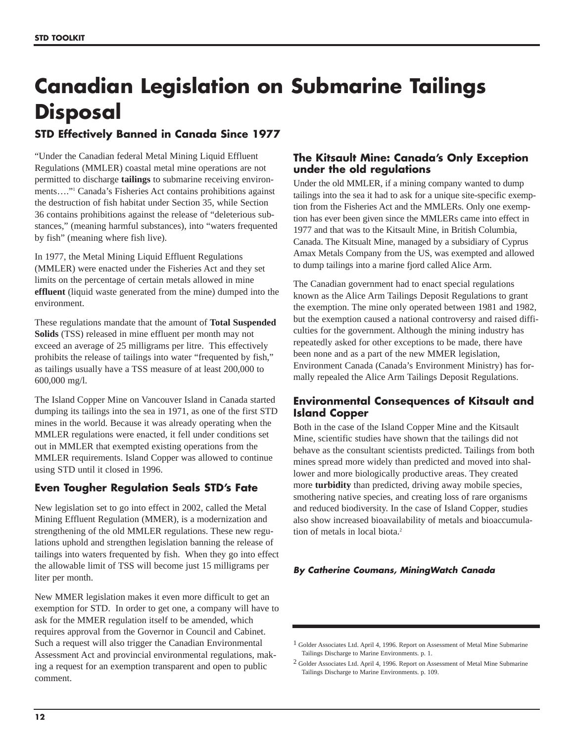# **Canadian Legislation on Submarine Tailings Disposal**

# **STD Effectively Banned in Canada Since 1977**

"Under the Canadian federal Metal Mining Liquid Effluent Regulations (MMLER) coastal metal mine operations are not permitted to discharge **tailings** to submarine receiving environments…."1 Canada's Fisheries Act contains prohibitions against the destruction of fish habitat under Section 35, while Section 36 contains prohibitions against the release of "deleterious substances," (meaning harmful substances), into "waters frequented by fish" (meaning where fish live).

In 1977, the Metal Mining Liquid Effluent Regulations (MMLER) were enacted under the Fisheries Act and they set limits on the percentage of certain metals allowed in mine **effluent** (liquid waste generated from the mine) dumped into the environment.

These regulations mandate that the amount of **Total Suspended Solids** (TSS) released in mine effluent per month may not exceed an average of 25 milligrams per litre. This effectively prohibits the release of tailings into water "frequented by fish," as tailings usually have a TSS measure of at least 200,000 to 600,000 mg/l.

The Island Copper Mine on Vancouver Island in Canada started dumping its tailings into the sea in 1971, as one of the first STD mines in the world. Because it was already operating when the MMLER regulations were enacted, it fell under conditions set out in MMLER that exempted existing operations from the MMLER requirements. Island Copper was allowed to continue using STD until it closed in 1996.

# **Even Tougher Regulation Seals STD's Fate**

New legislation set to go into effect in 2002, called the Metal Mining Effluent Regulation (MMER), is a modernization and strengthening of the old MMLER regulations. These new regulations uphold and strengthen legislation banning the release of tailings into waters frequented by fish. When they go into effect the allowable limit of TSS will become just 15 milligrams per liter per month.

New MMER legislation makes it even more difficult to get an exemption for STD. In order to get one, a company will have to ask for the MMER regulation itself to be amended, which requires approval from the Governor in Council and Cabinet. Such a request will also trigger the Canadian Environmental Assessment Act and provincial environmental regulations, making a request for an exemption transparent and open to public comment.

## **The Kitsault Mine: Canada's Only Exception under the old regulations**

Under the old MMLER, if a mining company wanted to dump tailings into the sea it had to ask for a unique site-specific exemption from the Fisheries Act and the MMLERs. Only one exemption has ever been given since the MMLERs came into effect in 1977 and that was to the Kitsault Mine, in British Columbia, Canada. The Kitsualt Mine, managed by a subsidiary of Cyprus Amax Metals Company from the US, was exempted and allowed to dump tailings into a marine fjord called Alice Arm.

The Canadian government had to enact special regulations known as the Alice Arm Tailings Deposit Regulations to grant the exemption. The mine only operated between 1981 and 1982, but the exemption caused a national controversy and raised difficulties for the government. Although the mining industry has repeatedly asked for other exceptions to be made, there have been none and as a part of the new MMER legislation, Environment Canada (Canada's Environment Ministry) has formally repealed the Alice Arm Tailings Deposit Regulations.

# **Environmental Consequences of Kitsault and Island Copper**

Both in the case of the Island Copper Mine and the Kitsault Mine, scientific studies have shown that the tailings did not behave as the consultant scientists predicted. Tailings from both mines spread more widely than predicted and moved into shallower and more biologically productive areas. They created more **turbidity** than predicted, driving away mobile species, smothering native species, and creating loss of rare organisms and reduced biodiversity. In the case of Island Copper, studies also show increased bioavailability of metals and bioaccumulation of metals in local biota.<sup>2</sup>

## **By Catherine Coumans, MiningWatch Canada**

2 Golder Associates Ltd. April 4, 1996. Report on Assessment of Metal Mine Submarine Tailings Discharge to Marine Environments. p. 109.

<sup>1</sup> Golder Associates Ltd. April 4, 1996. Report on Assessment of Metal Mine Submarine Tailings Discharge to Marine Environments. p. 1.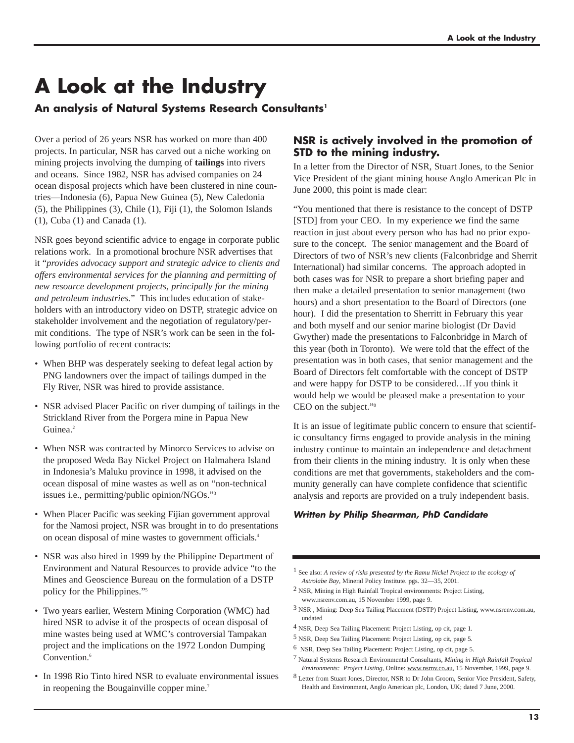# **A Look at the Industry**

# An analysis of Natural Systems Research Consultants<sup>1</sup>

Over a period of 26 years NSR has worked on more than 400 projects. In particular, NSR has carved out a niche working on mining projects involving the dumping of **tailings** into rivers and oceans. Since 1982, NSR has advised companies on 24 ocean disposal projects which have been clustered in nine countries—Indonesia (6), Papua New Guinea (5), New Caledonia (5), the Philippines (3), Chile (1), Fiji (1), the Solomon Islands (1), Cuba (1) and Canada (1).

NSR goes beyond scientific advice to engage in corporate public relations work. In a promotional brochure NSR advertises that it "*provides advocacy support and strategic advice to clients and offers environmental services for the planning and permitting of new resource development projects, principally for the mining and petroleum industries.*" This includes education of stakeholders with an introductory video on DSTP, strategic advice on stakeholder involvement and the negotiation of regulatory/permit conditions. The type of NSR's work can be seen in the following portfolio of recent contracts:

- When BHP was desperately seeking to defeat legal action by PNG landowners over the impact of tailings dumped in the Fly River, NSR was hired to provide assistance.
- NSR advised Placer Pacific on river dumping of tailings in the Strickland River from the Porgera mine in Papua New Guinea.<sup>2</sup>
- When NSR was contracted by Minorco Services to advise on the proposed Weda Bay Nickel Project on Halmahera Island in Indonesia's Maluku province in 1998, it advised on the ocean disposal of mine wastes as well as on "non-technical issues i.e., permitting/public opinion/NGOs."3
- When Placer Pacific was seeking Fijian government approval for the Namosi project, NSR was brought in to do presentations on ocean disposal of mine wastes to government officials.4
- NSR was also hired in 1999 by the Philippine Department of Environment and Natural Resources to provide advice "to the Mines and Geoscience Bureau on the formulation of a DSTP policy for the Philippines."5
- Two years earlier, Western Mining Corporation (WMC) had hired NSR to advise it of the prospects of ocean disposal of mine wastes being used at WMC's controversial Tampakan project and the implications on the 1972 London Dumping Convention.<sup>6</sup>
- In 1998 Rio Tinto hired NSR to evaluate environmental issues in reopening the Bougainville copper mine.<sup>7</sup>

## **NSR is actively involved in the promotion of STD to the mining industry.**

In a letter from the Director of NSR, Stuart Jones, to the Senior Vice President of the giant mining house Anglo American Plc in June 2000, this point is made clear:

"You mentioned that there is resistance to the concept of DSTP [STD] from your CEO. In my experience we find the same reaction in just about every person who has had no prior exposure to the concept. The senior management and the Board of Directors of two of NSR's new clients (Falconbridge and Sherrit International) had similar concerns. The approach adopted in both cases was for NSR to prepare a short briefing paper and then make a detailed presentation to senior management (two hours) and a short presentation to the Board of Directors (one hour). I did the presentation to Sherritt in February this year and both myself and our senior marine biologist (Dr David Gwyther) made the presentations to Falconbridge in March of this year (both in Toronto). We were told that the effect of the presentation was in both cases, that senior management and the Board of Directors felt comfortable with the concept of DSTP and were happy for DSTP to be considered…If you think it would help we would be pleased make a presentation to your CEO on the subject."8

It is an issue of legitimate public concern to ensure that scientific consultancy firms engaged to provide analysis in the mining industry continue to maintain an independence and detachment from their clients in the mining industry. It is only when these conditions are met that governments, stakeholders and the community generally can have complete confidence that scientific analysis and reports are provided on a truly independent basis.

## **Written by Philip Shearman, PhD Candidate**

1 See also: *A review of risks presented by the Ramu Nickel Project to the ecology of Astrolabe Bay*, Mineral Policy Institute. pgs. 32—35, 2001.

- 2 NSR, Mining in High Rainfall Tropical environments: Project Listing, www.nsrenv.com.au, 15 November 1999, page 9.
- 3 NSR , Mining: Deep Sea Tailing Placement (DSTP) Project Listing, www.nsrenv.com.au, undated
- 4 NSR, Deep Sea Tailing Placement: Project Listing, op cit, page 1.
- 5 NSR, Deep Sea Tailing Placement: Project Listing, op cit, page 5.
- 6 NSR, Deep Sea Tailing Placement: Project Listing, op cit, page 5.
- 7 Natural Systems Research Environmental Consultants, *Mining in High Rainfall Tropical Environments: Project Listing*, Online: www.nsrnv.co.au, 15 November, 1999, page 9.
- 8 Letter from Stuart Jones, Director, NSR to Dr John Groom, Senior Vice President, Safety, Health and Environment, Anglo American plc, London, UK; dated 7 June, 2000.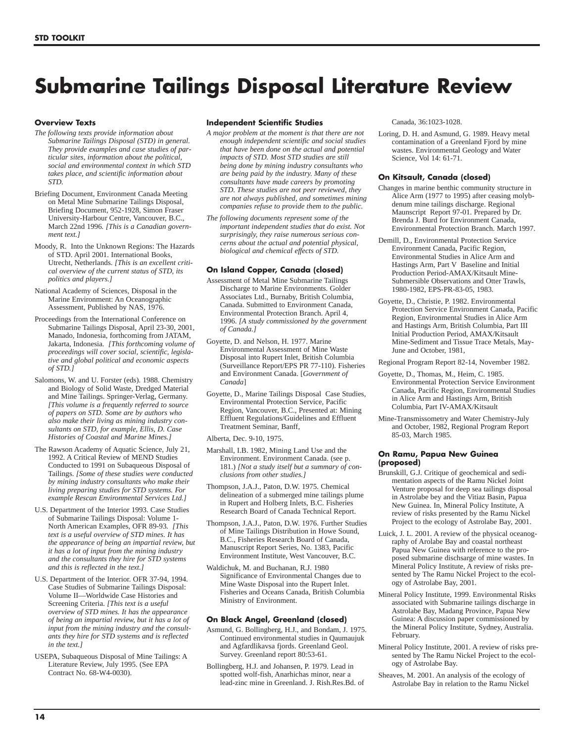# **Submarine Tailings Disposal Literature Review**

#### **Overview Texts**

- *The following texts provide information about Submarine Tailings Disposal (STD) in general. They provide examples and case studies of particular sites, information about the political, social and environmental context in which STD takes place, and scientific information about STD.*
- Briefing Document, Environment Canada Meeting on Metal Mine Submarine Tailings Disposal, Briefing Document, 952-1928, Simon Fraser University-Harbour Centre, Vancouver, B.C., March 22nd 1996*. [This is a Canadian government text.]*
- Moody, R. Into the Unknown Regions: The Hazards of STD. April 2001. International Books, Utrecht, Netherlands. *[This is an excellent critical overview of the current status of STD, its politics and players.]*
- National Academy of Sciences, Disposal in the Marine Environment: An Oceanographic Assessment, Published by NAS, 1976.
- Proceedings from the International Conference on Submarine Tailings Disposal, April 23-30, 2001, Manado, Indonesia, forthcoming from JATAM, Jakarta, Indonesia*. [This forthcoming volume of proceedings will cover social, scientific, legislative and global political and economic aspects of STD.]*
- Salomons, W. and U. Forster (eds). 1988. Chemistry and Biology of Solid Waste, Dredged Material and Mine Tailings. Springer-Verlag, Germany. *[This volume is a frequently referred to source of papers on STD. Some are by authors who also make their living as mining industry consultants on STD, for example, Ellis, D. Case Histories of Coastal and Marine Mines.]*
- The Rawson Academy of Aquatic Science, July 21, 1992. A Critical Review of MEND Studies Conducted to 1991 on Subaqueous Disposal of Tailings. *[Some of these studies were conducted by mining industry consultants who make their living preparing studies for STD systems. For example Rescan Environmental Services Ltd.]*
- U.S. Department of the Interior 1993. Case Studies of Submarine Tailings Disposal: Volume 1- North American Examples, OFR 89-93*. [This text is a useful overview of STD mines. It has the appearance of being an impartial review, but it has a lot of input from the mining industry and the consultants they hire for STD systems and this is reflected in the text.]*
- U.S. Department of the Interior. OFR 37-94, 1994. Case Studies of Submarine Tailings Disposal: Volume II—Worldwide Case Histories and Screening Criteria. *[This text is a useful overview of STD mines. It has the appearance of being an impartial review, but it has a lot of input from the mining industry and the consultants they hire for STD systems and is reflected in the text.]*
- USEPA, Subaqueous Disposal of Mine Tailings: A Literature Review, July 1995. (See EPA Contract No. 68-W4-0030).

#### **Independent Scientific Studies**

- *A major problem at the moment is that there are not enough independent scientific and social studies that have been done on the actual and potential impacts of STD. Most STD studies are still being done by mining industry consultants who are being paid by the industry. Many of these consultants have made careers by promoting STD. These studies are not peer reviewed, they are not always published, and sometimes mining companies refuse to provide them to the public.*
- *The following documents represent some of the important independent studies that do exist. Not surprisingly, they raise numerous serious concerns about the actual and potential physical, biological and chemical effects of STD.*

#### **On Island Copper, Canada (closed)**

- Assessment of Metal Mine Submarine Tailings Discharge to Marine Environments. Golder Associates Ltd., Burnaby, British Columbia, Canada. Submitted to Environment Canada, Environmental Protection Branch. April 4, 1996. *[A study commissioned by the government of Canada.]*
- Goyette, D. and Nelson, H. 1977. Marine Environmental Assessment of Mine Waste Disposal into Rupert Inlet, British Columbia (Surveillance Report/EPS PR 77-110). Fisheries and Environment Canada. [*Government of Canada*]
- Goyette, D., Marine Tailings Disposal Case Studies, Environmental Protection Service, Pacific Region, Vancouver, B.C., Presented at: Mining Effluent Regulations/Guidelines and Effluent Treatment Seminar, Banff,
- Alberta, Dec. 9-10, 1975.
- Marshall, I.B. 1982, Mining Land Use and the Environment. Environment Canada. (see p. 181.) *[Not a study itself but a summary of conclusions from other studies.]*
- Thompson, J.A.J., Paton, D.W. 1975. Chemical delineation of a submerged mine tailings plume in Rupert and Holberg Inlets, B.C. Fisheries Research Board of Canada Technical Report.
- Thompson, J.A.J., Paton, D.W. 1976. Further Studies of Mine Tailings Distribution in Howe Sound, B.C., Fisheries Research Board of Canada, Manuscript Report Series, No. 1383, Pacific Environment Institute, West Vancouver, B.C.
- Waldichuk, M. and Buchanan, R.J. 1980 Significance of Environmental Changes due to Mine Waste Disposal into the Rupert Inlet. Fisheries and Oceans Canada, British Columbia Ministry of Environment.

#### **On Black Angel, Greenland (closed)**

- Asmund, G. Bollingberg, H.J., and Bondam, J. 1975. Continued environmental studies in Qaumaujuk and Agfardlikavsa fjords. Greenland Geol. Survey. Greenland report 80:53-61.
- Bollingberg, H.J. and Johansen, P. 1979. Lead in spotted wolf-fish, Anarhichas minor, near a lead-zinc mine in Greenland. J. Rish.Res.Bd. of

Canada, 36:1023-1028.

Loring, D. H. and Asmund, G. 1989. Heavy metal contamination of a Greenland Fjord by mine wastes. Environmental Geology and Water Science, Vol 14: 61-71.

#### **On Kitsault, Canada (closed)**

- Changes in marine benthic community structure in Alice Arm (1977 to 1995) after ceasing molybdenum mine tailings discharge. Regional Maunscript Report 97-01. Prepared by Dr. Brenda J. Burd for Environment Canada, Environmental Protection Branch. March 1997.
- Demill, D., Environmental Protection Service Environment Canada, Pacific Region, Environmental Studies in Alice Arm and Hastings Arm, Part V Baseline and Initial Production Period-AMAX/Kitsault Mine-Submersible Observations and Otter Trawls, 1980-1982, EPS-PR-83-05, 1983.
- Goyette, D., Christie, P. 1982. Environmental Protection Service Environment Canada, Pacific Region, Environmental Studies in Alice Arm and Hastings Arm, British Columbia, Part III Initial Production Period, AMAX/Kitsault Mine-Sediment and Tissue Trace Metals, May-June and October, 1981,

Regional Program Report 82-14, November 1982.

- Goyette, D., Thomas, M., Heim, C. 1985. Environmental Protection Service Environment Canada, Pacific Region, Environmental Studies in Alice Arm and Hastings Arm, British Columbia, Part IV-AMAX/Kitsault
- Mine-Transmissometry and Water Chemistry-July and October, 1982, Regional Program Report 85-03, March 1985.

#### **On Ramu, Papua New Guinea (proposed)**

- Brunskill, G.J. Critique of geochemical and sedimentation aspects of the Ramu Nickel Joint Venture proposal for deep sea tailings disposal in Astrolabe bey and the Vitiaz Basin, Papua New Guinea. In, Mineral Policy Institute, A review of risks presented by the Ramu Nickel Project to the ecology of Astrolabe Bay, 2001.
- Luick, J. L. 2001. A review of the physical oceanography of Arolabe Bay and coastal northeast Papua New Guinea with reference to the proposed submarine dischsarge of mine wastes. In Mineral Policy Institute, A review of risks presented by The Ramu Nickel Project to the ecology of Astrolabe Bay, 2001.
- Mineral Policy Institute, 1999. Environmental Risks associated with Submarine tailings discharge in Astrolabe Bay, Madang Province, Papua New Guinea: A discussion paper commissioned by the Mineral Policy Institute, Sydney, Australia. February.
- Mineral Policy Institute, 2001. A review of risks presented by The Ramu Nickel Project to the ecology of Astrolabe Bay.
- Sheaves, M. 2001. An analysis of the ecology of Astrolabe Bay in relation to the Ramu Nickel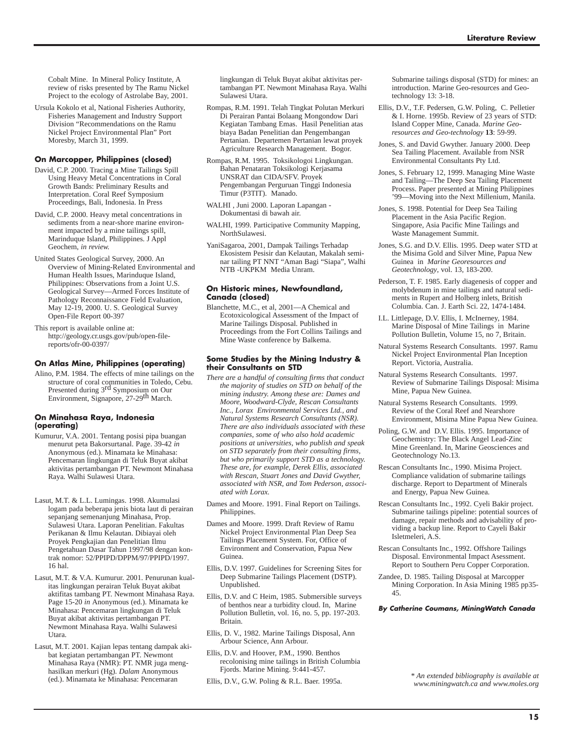Cobalt Mine. In Mineral Policy Institute, A review of risks presented by The Ramu Nickel Project to the ecology of Astrolabe Bay, 2001.

Ursula Kokolo et al, National Fisheries Authority, Fisheries Management and Industry Support Division "Recommendations on the Ramu Nickel Project Environmental Plan" Port Moresby, March 31, 1999.

#### **On Marcopper, Philippines (closed)**

- David, C.P. 2000. Tracing a Mine Tailings Spill Using Heavy Metal Concentrations in Coral Growth Bands: Preliminary Results and Interpretation. Coral Reef Symposium Proceedings, Bali, Indonesia. In Press
- David, C.P. 2000. Heavy metal concentrations in sediments from a near-shore marine environment impacted by a mine tailings spill, Marinduque Island, Philippines. J Appl Geochem, *in review.*
- United States Geological Survey, 2000. An Overview of Mining-Related Environmental and Human Health Issues, Marinduque Island, Philippines: Observations from a Joint U.S. Geological Survey—Armed Forces Institute of Pathology Reconnaissance Field Evaluation, May 12-19, 2000. U. S. Geological Survey Open-File Report 00-397

This report is available online at: http://geology.cr.usgs.gov/pub/open-filereports/ofr-00-0397/

#### **On Atlas Mine, Philippines (operating)**

Alino, P.M. 1984. The effects of mine tailings on the structure of coral communities in Toledo, Cebu. Presented during 3rd Symposium on Our Environment, Signapore, 27-29th March.

#### **On Minahasa Raya, Indonesia (operating)**

- Kumurur, V.A. 2001. Tentang posisi pipa buangan menurut peta Bakorsurtanal. Page. 39-42 *in* Anonymous (ed.). Minamata ke Minahasa: Pencemaran lingkungan di Teluk Buyat akibat aktivitas pertambangan PT. Newmont Minahasa Raya. Walhi Sulawesi Utara.
- Lasut, M.T. & L.L. Lumingas. 1998. Akumulasi logam pada beberapa jenis biota laut di perairan sepanjang semenanjung Minahasa, Prop. Sulawesi Utara. Laporan Penelitian. Fakultas Perikanan & Ilmu Kelautan. Dibiayai oleh Proyek Pengkajian dan Penelitian Ilmu Pengetahuan Dasar Tahun 1997/98 dengan kontrak nomor: 52/PPIPD/DPPM/97/PPIPD/1997. 16 hal.
- Lasut, M.T. & V.A. Kumurur. 2001. Penurunan kualitas lingkungan perairan Teluk Buyat akibat aktifitas tambang PT. Newmont Minahasa Raya. Page 15-20 *in* Anonymous (ed.). Minamata ke Minahasa: Pencemaran lingkungan di Teluk Buyat akibat aktivitas pertambangan PT. Newmont Minahasa Raya. Walhi Sulawesi Utara.
- Lasut, M.T. 2001. Kajian lepas tentang dampak akibat kegiatan pertambangan PT. Newmont Minahasa Raya (NMR): PT. NMR juga menghasilkan merkuri (Hg). *Dalam* Anonymous (ed.). Minamata ke Minahasa: Pencemaran

lingkungan di Teluk Buyat akibat aktivitas pertambangan PT. Newmont Minahasa Raya. Walhi Sulawesi Utara.

- Rompas, R.M. 1991. Telah Tingkat Polutan Merkuri Di Perairan Pantai Bolaang Mongondow Dari Kegiatan Tambang Emas. Hasil Penelitian atas biaya Badan Penelitian dan Pengembangan Pertanian. Departemen Pertanian lewat proyek Agriculture Research Management. Bogor.
- Rompas, R.M. 1995. Toksikologoi Lingkungan. Bahan Penataran Toksikologi Kerjasama UNSRAT dan CIDA/SFV. Proyek Pengembangan Perguruan Tinggi Indonesia Timur (P3TIT). Manado.
- WALHI , Juni 2000. Laporan Lapangan Dokumentasi di bawah air.
- WALHI, 1999. Participative Community Mapping, NorthSulawesi.
- YaniSagaroa, 2001, Dampak Tailings Terhadap Ekosistem Pesisir dan Kelautan, Makalah seminar tailing PT NNT "Aman Bagi "Siapa", Walhi NTB -UKPKM Media Unram.

#### **On Historic mines, Newfoundland, Canada (closed)**

Blanchette, M.C., et al, 2001—A Chemical and Ecotoxicological Assessment of the Impact of Marine Tailings Disposal. Published in Proceedings from the Fort Collins Tailings and Mine Waste conference by Balkema.

#### **Some Studies by the Mining Industry & their Consultants on STD**

- *There are a handful of consulting firms that conduct the majority of studies on STD on behalf of the mining industry. Among these are: Dames and Moore, Woodward-Clyde, Rescan Consultants Inc., Lorax Environmental Services Ltd., and Natural Systems Research Consultants (NSR). There are also individuals associated with these companies, some of who also hold academic positions at universities, who publish and speak on STD separately from their consulting firms, but who primarily support STD as a technology. These are, for example, Derek Ellis, associated with Rescan, Stuart Jones and David Gwyther, associated with NSR, and Tom Pederson, associated with Lorax.*
- Dames and Moore. 1991. Final Report on Tailings. Philippines.
- Dames and Moore. 1999. Draft Review of Ramu Nickel Project Environmental Plan Deep Sea Tailings Placement System. For, Office of Environment and Conservation, Papua New Guinea.
- Ellis, D.V. 1997. Guidelines for Screening Sites for Deep Submarine Tailings Placement (DSTP). Unpublished.
- Ellis, D.V. and C Heim, 1985. Submersible surveys of benthos near a turbidity cloud. In, Marine Pollution Bulletin, vol. 16, no. 5, pp. 197-203. Britain.
- Ellis, D. V., 1982. Marine Tailings Disposal, Ann Arbour Science, Ann Arbour.
- Ellis, D.V. and Hoover, P.M., 1990. Benthos recolonising mine tailings in British Columbia Fjords. Marine Mining. 9:441-457.
- Ellis, D.V., G.W. Poling & R.L. Baer. 1995a.

Submarine tailings disposal (STD) for mines: an introduction. Marine Geo-resources and Geotechnology 13: 3-18.

- Ellis, D.V., T.F. Pedersen, G.W. Poling, C. Pelletier & I. Horne. 1995b. Review of 23 years of STD: Island Copper Mine, Canada. *Marine Georesources and Geo-technology* **13**: 59-99.
- Jones, S. and David Gwyther. January 2000. Deep Sea Tailing Placement. Available from NSR Environmental Consultants Pty Ltd.
- Jones, S. February 12, 1999. Managing Mine Waste and Tailing—The Deep Sea Tailing Placement Process. Paper presented at Mining Philippines '99—Moving into the Next Millenium, Manila.
- Jones, S. 1998. Potential for Deep Sea Tailing Placement in the Asia Pacific Region. Singapore, Asia Pacific Mine Tailings and Waste Management Summit.
- Jones, S.G. and D.V. Ellis. 1995. Deep water STD at the Misima Gold and Silver Mine, Papua New Guinea in *Marine Georesources and Geotechnology*, vol. 13, 183-200.
- Pederson, T. F. 1985. Early diagenesis of copper and molybdenum in mine tailings and natural sediments in Rupert and Holberg inlets, British Columbia. Can. J. Earth Sci. 22, 1474-1484.
- I.L. Littlepage, D.V. Ellis, I. McInerney, 1984. Marine Disposal of Mine Tailings in Marine Pollution Bulletin, Volume 15, no 7, Britain.
- Natural Systems Research Consultants. 1997. Ramu Nickel Project Environmental Plan Inception Report. Victoria, Australia.
- Natural Systems Research Consultants. 1997. Review of Submarine Tailings Disposal: Misima Mine, Papua New Guinea.
- Natural Systems Research Consultants. 1999. Review of the Coral Reef and Nearshore Environment, Misima Mine Papua New Guinea.
- Poling, G.W. and D.V. Ellis. 1995. Importance of Geochemistry: The Black Angel Lead-Zinc Mine Greenland. In, Marine Geosciences and Geotechnology No.13.
- Rescan Consultants Inc., 1990. Misima Project. Compliance validation of submarine tailings discharge. Report to Department of Minerals and Energy, Papua New Guinea.
- Rescan Consultants Inc., 1992. Cyeli Bakir project. Submarine tailings pipeline: potential sources of damage, repair methods and advisability of providing a backup line. Report to Cayeli Bakir Isletmeleri, A.S.
- Rescan Consultants Inc., 1992. Offshore Tailings Disposal. Environmental Impact Asessment. Report to Southern Peru Copper Corporation.
- Zandee, D. 1985. Tailing Disposal at Marcopper Mining Corporation. In Asia Mining 1985 pp35- 45.

**By Catherine Coumans, MiningWatch Canada**

*\* An extended bibliography is available at www.miningwatch.ca and www.moles.org*